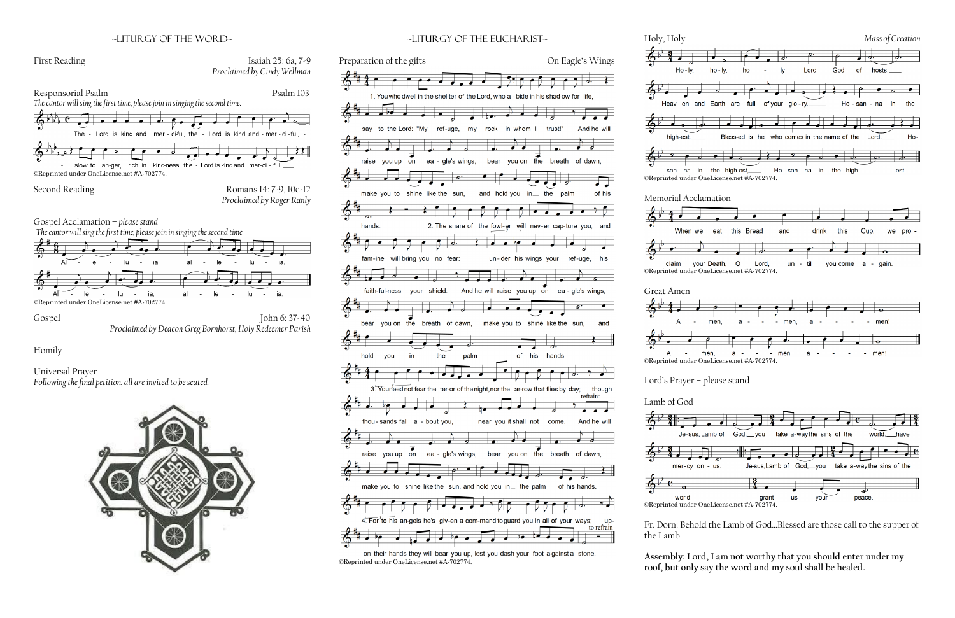## ~liturgy of the word~



Universal Prayer *Following the final petition, all are invited to be seated.*







Fr. Dorn: Behold the Lamb of God…Blessed are those call to the supper of

# **Assembly: Lord, I am not worthy that you should enter under my roof, but only say the word and my soul shall be healed.**